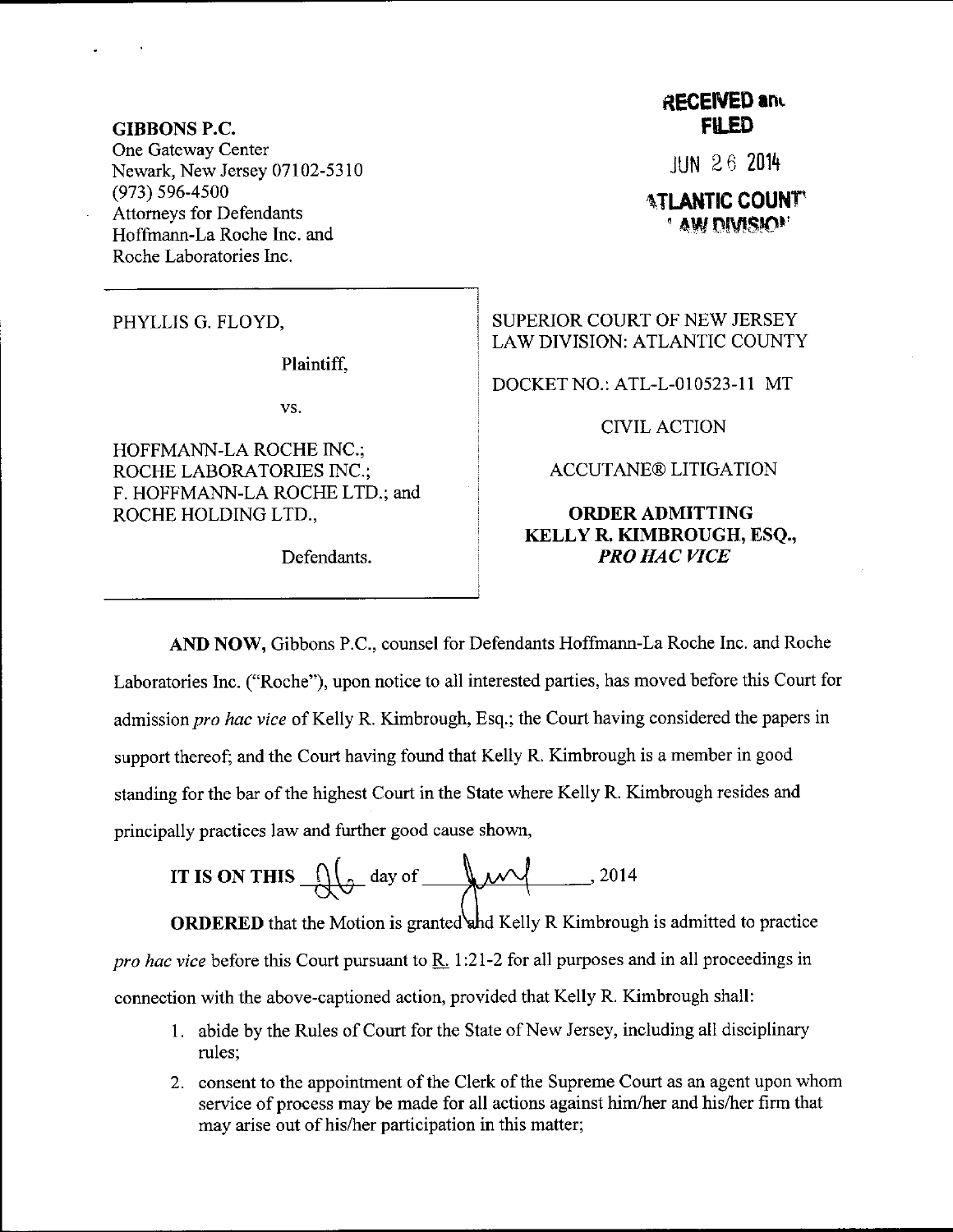GIBBONS P.C. One Gateway Center Newark, New Jersey 07102-5310 (973) 596-4s00 Attomeys for Defendants Hoffmann-La Roche Inc. and Roche Laboratories Inc.

PHYLLIS G. FLOYD,

Plaintiff.

vs,

HOFFMANN-LA ROCHE INC.; ROCHE LABORATORIES INC.; F. HOFFMANN-LA ROCHE LTD.; and ROCHE HOLDING LTD.,

Defendants.

## **RECEIVED and** FU.ED

JUN 2 6 <sup>2014</sup>

**ATLANTIC COUNT** ' aw divisiol'

SUPERIOR COURT OF NEW JERSEY LAW DIVISION: ATLANTIC COUNTY

DOCKET NO.: ATL-L-010523-I 1 MT

CIVIL ACTION

ACCUTANE@ LITIGATION

## ORDERADMITTING KELLY R. KIMBROUGH, ESQ., PRO HAC VICE

AND NOW, Gibbons P.C., counsel for Defendants Hoffmann-La Roche Inc. and Roche Laboratories Inc. ("Roche"), upon notice to all interested parties, has moved before this Court for admission pro hac vice of Kelly R. Kimbrough, Esq.; the Court having considered the papers in support thereof; and the Court having found that Kelly R. Kimbrough is a member in good standing for the bar of the highest Court in the State where Kelly R. Kimbrough resides and principally practices law and further good cause shown,

IT IS ON THIS 
$$
\sqrt{2014}
$$
 day of  $\sqrt{2014}$ 

**ORDERED** that the Motion is granted and Kelly R Kimbrough is admitted to practice pro hac vice before this Court pursuant to R. 1:21-2 for all purposes and in all proceedings in connection with the above-captioned action, provided that Kelly R. Kimbrough shall:

- <sup>1</sup>. abide by the Rules of Court for the State of New Jersey, including all disciplinary rules;
- <sup>2</sup>. consent to the appointment of the Clerk of the Supreme Court as an agent upon whom service of process may be made for all actions against him/her and his/her firm that may arise out of his/her participation in this matter;